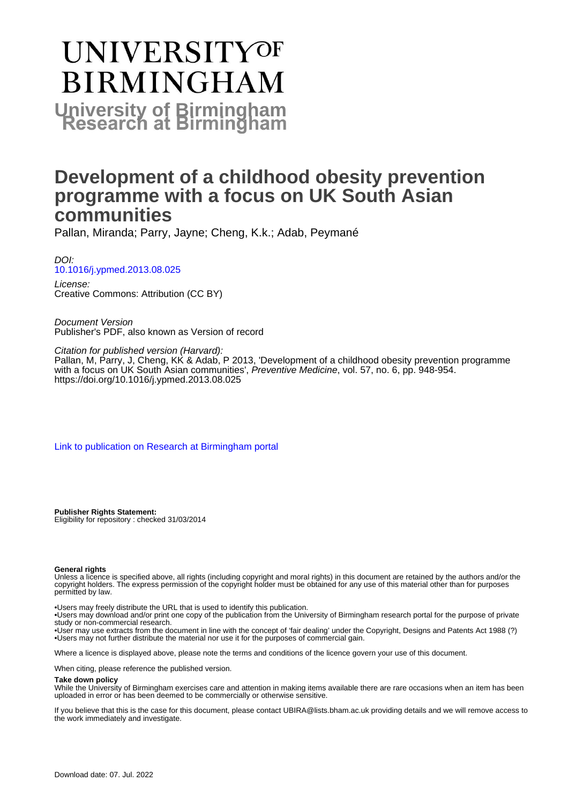# **UNIVERSITYOF BIRMINGHAM University of Birmingham**

## **Development of a childhood obesity prevention programme with a focus on UK South Asian communities**

Pallan, Miranda; Parry, Jayne; Cheng, K.k.; Adab, Peymané

DOI: [10.1016/j.ypmed.2013.08.025](https://doi.org/10.1016/j.ypmed.2013.08.025)

License: Creative Commons: Attribution (CC BY)

Document Version Publisher's PDF, also known as Version of record

Citation for published version (Harvard): Pallan, M, Parry, J, Cheng, KK & Adab, P 2013, 'Development of a childhood obesity prevention programme with a focus on UK South Asian communities', Preventive Medicine, vol. 57, no. 6, pp. 948-954. <https://doi.org/10.1016/j.ypmed.2013.08.025>

[Link to publication on Research at Birmingham portal](https://birmingham.elsevierpure.com/en/publications/601949a0-0741-447e-b133-a19675ff1abe)

**Publisher Rights Statement:** Eligibility for repository : checked 31/03/2014

#### **General rights**

Unless a licence is specified above, all rights (including copyright and moral rights) in this document are retained by the authors and/or the copyright holders. The express permission of the copyright holder must be obtained for any use of this material other than for purposes permitted by law.

• Users may freely distribute the URL that is used to identify this publication.

• Users may download and/or print one copy of the publication from the University of Birmingham research portal for the purpose of private study or non-commercial research.

• User may use extracts from the document in line with the concept of 'fair dealing' under the Copyright, Designs and Patents Act 1988 (?) • Users may not further distribute the material nor use it for the purposes of commercial gain.

Where a licence is displayed above, please note the terms and conditions of the licence govern your use of this document.

When citing, please reference the published version.

#### **Take down policy**

While the University of Birmingham exercises care and attention in making items available there are rare occasions when an item has been uploaded in error or has been deemed to be commercially or otherwise sensitive.

If you believe that this is the case for this document, please contact UBIRA@lists.bham.ac.uk providing details and we will remove access to the work immediately and investigate.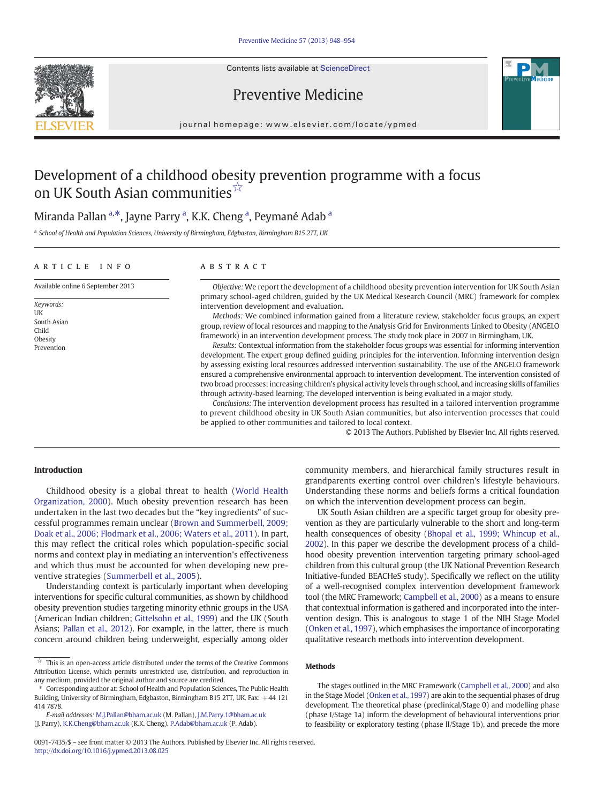Contents lists available at [ScienceDirect](http://www.sciencedirect.com/science/journal/00917435)





### Preventive Medicine

journal homepage: www.elsevier.com/locate/ypmed

### Development of a childhood obesity prevention programme with a focus on UK South Asian communities<sup>☆</sup>

### Miranda Pallan <sup>a,\*</sup>, Jayne Parry <sup>a</sup>, K.K. Cheng <sup>a</sup>, Peymané Adab <sup>a</sup>

a School of Health and Population Sciences, University of Birmingham, Edgbaston, Birmingham B15 2TT, UK

#### article info abstract

Available online 6 September 2013

Keywords: UK South Asian Child **Obesity** Prevention

#### Objective: We report the development of a childhood obesity prevention intervention for UK South Asian primary school-aged children, guided by the UK Medical Research Council (MRC) framework for complex intervention development and evaluation.

Methods: We combined information gained from a literature review, stakeholder focus groups, an expert group, review of local resources and mapping to the Analysis Grid for Environments Linked to Obesity (ANGELO framework) in an intervention development process. The study took place in 2007 in Birmingham, UK.

Results: Contextual information from the stakeholder focus groups was essential for informing intervention development. The expert group defined guiding principles for the intervention. Informing intervention design by assessing existing local resources addressed intervention sustainability. The use of the ANGELO framework ensured a comprehensive environmental approach to intervention development. The intervention consisted of two broad processes; increasing children's physical activity levels through school, and increasing skills of families through activity-based learning. The developed intervention is being evaluated in a major study.

Conclusions: The intervention development process has resulted in a tailored intervention programme to prevent childhood obesity in UK South Asian communities, but also intervention processes that could be applied to other communities and tailored to local context.

© 2013 The Authors. Published by Elsevier Inc. All rights reserved.

### Introduction

Childhood obesity is a global threat to health ([World Health](#page-7-0) [Organization, 2000](#page-7-0)). Much obesity prevention research has been undertaken in the last two decades but the "key ingredients" of successful programmes remain unclear ([Brown and Summerbell, 2009;](#page-7-0) [Doak et al., 2006; Flodmark et al., 2006; Waters et al., 2011\)](#page-7-0). In part, this may reflect the critical roles which population-specific social norms and context play in mediating an intervention's effectiveness and which thus must be accounted for when developing new preventive strategies ([Summerbell et al., 2005\)](#page-7-0).

Understanding context is particularly important when developing interventions for specific cultural communities, as shown by childhood obesity prevention studies targeting minority ethnic groups in the USA (American Indian children; [Gittelsohn et al., 1999\)](#page-7-0) and the UK (South Asians; [Pallan et al., 2012](#page-7-0)). For example, in the latter, there is much concern around children being underweight, especially among older

E-mail addresses: [M.J.Pallan@bham.ac.uk](mailto:M.J.Pallan@bham.ac.uk) (M. Pallan), [J.M.Parry.1@bham.ac.uk](mailto:J.M.Parry.1@bham.ac.uk)

(J. Parry), [K.K.Cheng@bham.ac.uk](mailto:K.K.Cheng@bham.ac.uk) (K.K. Cheng), [P.Adab@bham.ac.uk](mailto:P.Adab@bham.ac.uk) (P. Adab).

community members, and hierarchical family structures result in grandparents exerting control over children's lifestyle behaviours. Understanding these norms and beliefs forms a critical foundation on which the intervention development process can begin.

UK South Asian children are a specific target group for obesity prevention as they are particularly vulnerable to the short and long-term health consequences of obesity [\(Bhopal et al., 1999; Whincup et al.,](#page-7-0) [2002\)](#page-7-0). In this paper we describe the development process of a childhood obesity prevention intervention targeting primary school-aged children from this cultural group (the UK National Prevention Research Initiative-funded BEACHeS study). Specifically we reflect on the utility of a well-recognised complex intervention development framework tool (the MRC Framework; [Campbell et al., 2000\)](#page-7-0) as a means to ensure that contextual information is gathered and incorporated into the intervention design. This is analogous to stage 1 of the NIH Stage Model [\(Onken et al., 1997\)](#page-7-0), which emphasises the importance of incorporating qualitative research methods into intervention development.

#### Methods

The stages outlined in the MRC Framework [\(Campbell et al., 2000\)](#page-7-0) and also in the Stage Model [\(Onken et al., 1997](#page-7-0)) are akin to the sequential phases of drug development. The theoretical phase (preclinical/Stage 0) and modelling phase (phase I/Stage 1a) inform the development of behavioural interventions prior to feasibility or exploratory testing (phase II/Stage 1b), and precede the more

 $\overrightarrow{A}$  This is an open-access article distributed under the terms of the Creative Commons Attribution License, which permits unrestricted use, distribution, and reproduction in any medium, provided the original author and source are credited.

<sup>⁎</sup> Corresponding author at: School of Health and Population Sciences, The Public Health Building, University of Birmingham, Edgbaston, Birmingham B15 2TT, UK. Fax: +44 121 414 7878.

<sup>0091-7435/\$</sup> – see front matter © 2013 The Authors. Published by Elsevier Inc. All rights reserved. <http://dx.doi.org/10.1016/j.ypmed.2013.08.025>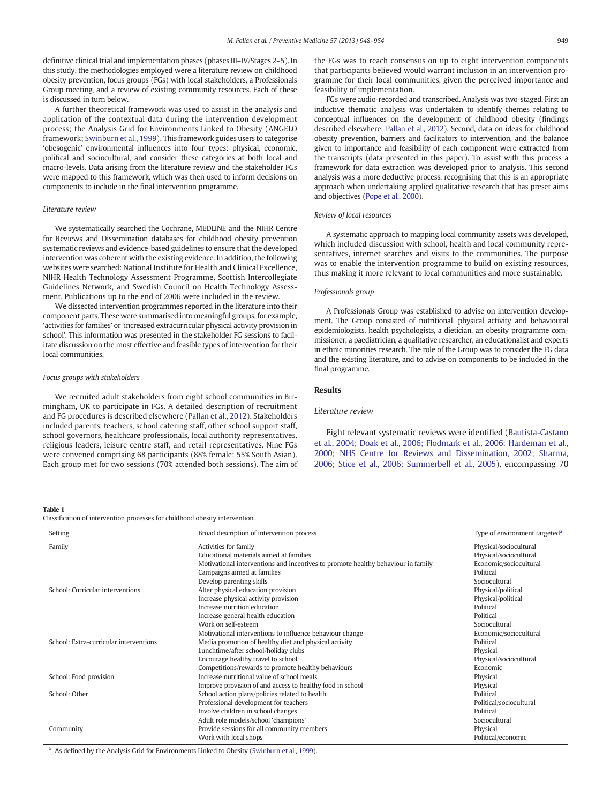<span id="page-2-0"></span>definitive clinical trial and implementation phases (phases III–IV/Stages 2–5). In this study, the methodologies employed were a literature review on childhood obesity prevention, focus groups (FGs) with local stakeholders, a Professionals Group meeting, and a review of existing community resources. Each of these is discussed in turn below.

A further theoretical framework was used to assist in the analysis and application of the contextual data during the intervention development process; the Analysis Grid for Environments Linked to Obesity (ANGELO framework; [Swinburn et al., 1999\)](#page-7-0). This framework guides users to categorise 'obesogenic' environmental influences into four types: physical, economic, political and sociocultural, and consider these categories at both local and macro-levels. Data arising from the literature review and the stakeholder FGs were mapped to this framework, which was then used to inform decisions on components to include in the final intervention programme.

#### Literature review

We systematically searched the Cochrane, MEDLINE and the NIHR Centre for Reviews and Dissemination databases for childhood obesity prevention systematic reviews and evidence-based guidelines to ensure that the developed intervention was coherent with the existing evidence. In addition, the following websites were searched: National Institute for Health and Clinical Excellence, NIHR Health Technology Assessment Programme, Scottish Intercollegiate Guidelines Network, and Swedish Council on Health Technology Assessment. Publications up to the end of 2006 were included in the review.

We dissected intervention programmes reported in the literature into their component parts. These were summarised into meaningful groups, for example, 'activities for families' or 'increased extracurricular physical activity provision in school'. This information was presented in the stakeholder FG sessions to facilitate discussion on the most effective and feasible types of intervention for their local communities.

#### Focus groups with stakeholders

We recruited adult stakeholders from eight school communities in Birmingham, UK to participate in FGs. A detailed description of recruitment and FG procedures is described elsewhere ([Pallan et al., 2012\)](#page-7-0). Stakeholders included parents, teachers, school catering staff, other school support staff, school governors, healthcare professionals, local authority representatives, religious leaders, leisure centre staff, and retail representatives. Nine FGs were convened comprising 68 participants (88% female; 55% South Asian). Each group met for two sessions (70% attended both sessions). The aim of

#### Table 1

Classification of intervention processes for childhood obesity intervention.

the FGs was to reach consensus on up to eight intervention components that participants believed would warrant inclusion in an intervention programme for their local communities, given the perceived importance and feasibility of implementation.

FGs were audio-recorded and transcribed. Analysis was two-staged. First an inductive thematic analysis was undertaken to identify themes relating to conceptual influences on the development of childhood obesity (findings described elsewhere; [Pallan et al., 2012\)](#page-7-0). Second, data on ideas for childhood obesity prevention, barriers and facilitators to intervention, and the balance given to importance and feasibility of each component were extracted from the transcripts (data presented in this paper). To assist with this process a framework for data extraction was developed prior to analysis. This second analysis was a more deductive process, recognising that this is an appropriate approach when undertaking applied qualitative research that has preset aims and objectives [\(Pope et al., 2000\)](#page-7-0).

#### Review of local resources

A systematic approach to mapping local community assets was developed, which included discussion with school, health and local community representatives, internet searches and visits to the communities. The purpose was to enable the intervention programme to build on existing resources, thus making it more relevant to local communities and more sustainable.

#### Professionals group

A Professionals Group was established to advise on intervention development. The Group consisted of nutritional, physical activity and behavioural epidemiologists, health psychologists, a dietician, an obesity programme commissioner, a paediatrician, a qualitative researcher, an educationalist and experts in ethnic minorities research. The role of the Group was to consider the FG data and the existing literature, and to advise on components to be included in the final programme.

#### Results

#### Literature review

Eight relevant systematic reviews were identified [\(Bautista-Castano](#page-7-0) [et al., 2004; Doak et al., 2006; Flodmark et al., 2006; Hardeman et al.,](#page-7-0) [2000; NHS Centre for Reviews and Dissemination, 2002; Sharma,](#page-7-0) [2006; Stice et al., 2006; Summerbell et al., 2005](#page-7-0)), encompassing 70

| Setting                                | Broad description of intervention process                                        | Type of environment targeted <sup>a</sup> |
|----------------------------------------|----------------------------------------------------------------------------------|-------------------------------------------|
| Family                                 | Activities for family                                                            | Physical/sociocultural                    |
|                                        | Educational materials aimed at families                                          | Physical/sociocultural                    |
|                                        | Motivational interventions and incentives to promote healthy behaviour in family | Economic/sociocultural                    |
|                                        | Campaigns aimed at families                                                      | Political                                 |
|                                        | Develop parenting skills                                                         | Sociocultural                             |
| School: Curricular interventions       | Alter physical education provision                                               | Physical/political                        |
|                                        | Increase physical activity provision                                             | Physical/political                        |
|                                        | Increase nutrition education                                                     | Political                                 |
|                                        | Increase general health education                                                | Political                                 |
|                                        | Work on self-esteem                                                              | Sociocultural                             |
|                                        | Motivational interventions to influence behaviour change                         | Economic/sociocultural                    |
| School: Extra-curricular interventions | Media promotion of healthy diet and physical activity                            | Political                                 |
|                                        | Lunchtime/after school/holiday clubs                                             | Physical                                  |
|                                        | Encourage healthy travel to school                                               | Physical/sociocultural                    |
|                                        | Competitions/rewards to promote healthy behaviours                               | Economic                                  |
| School: Food provision                 | Increase nutritional value of school meals                                       | Physical                                  |
|                                        | Improve provision of and access to healthy food in school                        | Physical                                  |
| School: Other                          | School action plans/policies related to health                                   | Political                                 |
|                                        | Professional development for teachers                                            | Political/sociocultural                   |
|                                        | Involve children in school changes                                               | Political                                 |
|                                        | Adult role models/school 'champions'                                             | Sociocultural                             |
| Community                              | Provide sessions for all community members                                       | Physical                                  |
|                                        | Work with local shops                                                            | Political/economic                        |

<sup>a</sup> As defined by the Analysis Grid for Environments Linked to Obesity [\(Swinburn et al., 1999](#page-7-0)).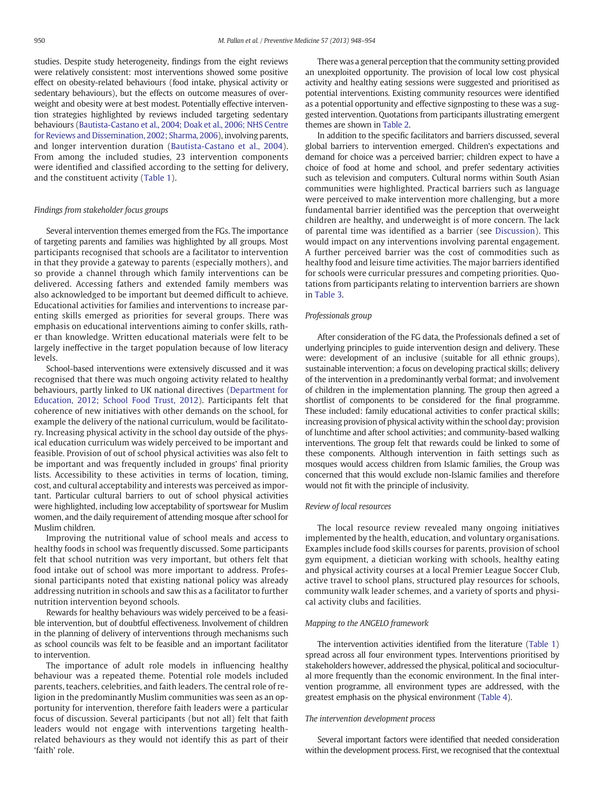studies. Despite study heterogeneity, findings from the eight reviews were relatively consistent: most interventions showed some positive effect on obesity-related behaviours (food intake, physical activity or sedentary behaviours), but the effects on outcome measures of overweight and obesity were at best modest. Potentially effective intervention strategies highlighted by reviews included targeting sedentary behaviours [\(Bautista-Castano et al., 2004; Doak et al., 2006; NHS Centre](#page-7-0) [for Reviews and Dissemination, 2002; Sharma, 2006](#page-7-0)), involving parents, and longer intervention duration ([Bautista-Castano et al., 2004](#page-7-0)). From among the included studies, 23 intervention components were identified and classified according to the setting for delivery, and the constituent activity [\(Table 1](#page-2-0)).

#### Findings from stakeholder focus groups

Several intervention themes emerged from the FGs. The importance of targeting parents and families was highlighted by all groups. Most participants recognised that schools are a facilitator to intervention in that they provide a gateway to parents (especially mothers), and so provide a channel through which family interventions can be delivered. Accessing fathers and extended family members was also acknowledged to be important but deemed difficult to achieve. Educational activities for families and interventions to increase parenting skills emerged as priorities for several groups. There was emphasis on educational interventions aiming to confer skills, rather than knowledge. Written educational materials were felt to be largely ineffective in the target population because of low literacy levels.

School-based interventions were extensively discussed and it was recognised that there was much ongoing activity related to healthy behaviours, partly linked to UK national directives [\(Department for](#page-7-0) [Education, 2012; School Food Trust, 2012](#page-7-0)). Participants felt that coherence of new initiatives with other demands on the school, for example the delivery of the national curriculum, would be facilitatory. Increasing physical activity in the school day outside of the physical education curriculum was widely perceived to be important and feasible. Provision of out of school physical activities was also felt to be important and was frequently included in groups' final priority lists. Accessibility to these activities in terms of location, timing, cost, and cultural acceptability and interests was perceived as important. Particular cultural barriers to out of school physical activities were highlighted, including low acceptability of sportswear for Muslim women, and the daily requirement of attending mosque after school for Muslim children.

Improving the nutritional value of school meals and access to healthy foods in school was frequently discussed. Some participants felt that school nutrition was very important, but others felt that food intake out of school was more important to address. Professional participants noted that existing national policy was already addressing nutrition in schools and saw this as a facilitator to further nutrition intervention beyond schools.

Rewards for healthy behaviours was widely perceived to be a feasible intervention, but of doubtful effectiveness. Involvement of children in the planning of delivery of interventions through mechanisms such as school councils was felt to be feasible and an important facilitator to intervention.

The importance of adult role models in influencing healthy behaviour was a repeated theme. Potential role models included parents, teachers, celebrities, and faith leaders. The central role of religion in the predominantly Muslim communities was seen as an opportunity for intervention, therefore faith leaders were a particular focus of discussion. Several participants (but not all) felt that faith leaders would not engage with interventions targeting healthrelated behaviours as they would not identify this as part of their 'faith' role.

There was a general perception that the community setting provided an unexploited opportunity. The provision of local low cost physical activity and healthy eating sessions were suggested and prioritised as potential interventions. Existing community resources were identified as a potential opportunity and effective signposting to these was a suggested intervention. Quotations from participants illustrating emergent themes are shown in [Table 2.](#page-4-0)

In addition to the specific facilitators and barriers discussed, several global barriers to intervention emerged. Children's expectations and demand for choice was a perceived barrier; children expect to have a choice of food at home and school, and prefer sedentary activities such as television and computers. Cultural norms within South Asian communities were highlighted. Practical barriers such as language were perceived to make intervention more challenging, but a more fundamental barrier identified was the perception that overweight children are healthy, and underweight is of more concern. The lack of parental time was identified as a barrier (see [Discussion\)](#page-4-0). This would impact on any interventions involving parental engagement. A further perceived barrier was the cost of commodities such as healthy food and leisure time activities. The major barriers identified for schools were curricular pressures and competing priorities. Quotations from participants relating to intervention barriers are shown in [Table 3.](#page-4-0)

#### Professionals group

After consideration of the FG data, the Professionals defined a set of underlying principles to guide intervention design and delivery. These were: development of an inclusive (suitable for all ethnic groups), sustainable intervention; a focus on developing practical skills; delivery of the intervention in a predominantly verbal format; and involvement of children in the implementation planning. The group then agreed a shortlist of components to be considered for the final programme. These included: family educational activities to confer practical skills; increasing provision of physical activity within the school day; provision of lunchtime and after school activities; and community-based walking interventions. The group felt that rewards could be linked to some of these components. Although intervention in faith settings such as mosques would access children from Islamic families, the Group was concerned that this would exclude non-Islamic families and therefore would not fit with the principle of inclusivity.

#### Review of local resources

The local resource review revealed many ongoing initiatives implemented by the health, education, and voluntary organisations. Examples include food skills courses for parents, provision of school gym equipment, a dietician working with schools, healthy eating and physical activity courses at a local Premier League Soccer Club, active travel to school plans, structured play resources for schools, community walk leader schemes, and a variety of sports and physical activity clubs and facilities.

#### Mapping to the ANGELO framework

The intervention activities identified from the literature ([Table 1](#page-2-0)) spread across all four environment types. Interventions prioritised by stakeholders however, addressed the physical, political and sociocultural more frequently than the economic environment. In the final intervention programme, all environment types are addressed, with the greatest emphasis on the physical environment ([Table 4](#page-5-0)).

#### The intervention development process

Several important factors were identified that needed consideration within the development process. First, we recognised that the contextual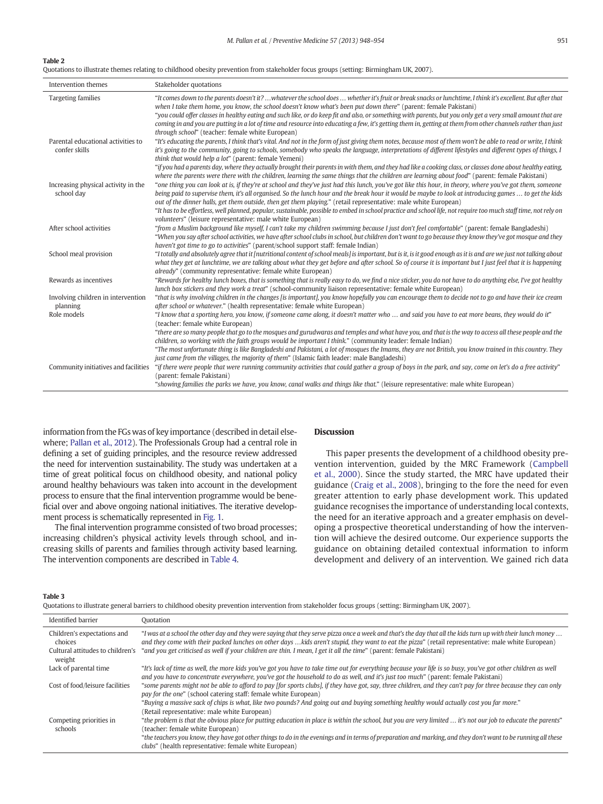#### <span id="page-4-0"></span>Table 2

Quotations to illustrate themes relating to childhood obesity prevention from stakeholder focus groups (setting: Birmingham UK, 2007).

| Intervention themes                                 | Stakeholder quotations                                                                                                                                                                                                                                                                                                                                                                                                                                                                                                                                                                                                                                            |
|-----------------------------------------------------|-------------------------------------------------------------------------------------------------------------------------------------------------------------------------------------------------------------------------------------------------------------------------------------------------------------------------------------------------------------------------------------------------------------------------------------------------------------------------------------------------------------------------------------------------------------------------------------------------------------------------------------------------------------------|
| <b>Targeting families</b>                           | "It comes down to the parents doesn't it? whatever the school does  whether it's fruit or break snacks or lunchtime, I think it's excellent. But after that<br>when I take them home, you know, the school doesn't know what's been put down there" (parent: female Pakistani)<br>"you could offer classes in healthy eating and such like, or do keep fit and also, or something with parents, but you only get a very small amount that are<br>coming in and you are putting in a lot of time and resource into educating a few, it's getting them in, getting at them from other channels rather than just<br>through school" (teacher: female white European) |
| Parental educational activities to<br>confer skills | "It's educating the parents, I think that's vital. And not in the form of just giving them notes, because most of them won't be able to read or write, I think<br>it's going to the community, going to schools, somebody who speaks the language, interpretations of different lifestyles and different types of things, I<br>think that would help a lot" (parent: female Yemeni)<br>"if you had a parents day, where they actually brought their parents in with them, and they had like a cooking class, or classes done about healthy eating,                                                                                                                |
| Increasing physical activity in the<br>school day   | where the parents were there with the children, learning the same things that the children are learning about food" (parent: female Pakistani)<br>"one thing you can look at is, if they're at school and they've just had this lunch, you've got like this hour, in theory, where you've got them, someone                                                                                                                                                                                                                                                                                                                                                       |
|                                                     | being paid to supervise them, it's all organised. So the lunch hour and the break hour it would be maybe to look at introducing games  to get the kids<br>out of the dinner halls, get them outside, then get them playing." (retail representative: male white European)<br>"It has to be effortless, well planned, popular, sustainable, possible to embed in school practice and school life, not require too much staff time, not rely on<br>volunteers" (leisure representative: male white European)                                                                                                                                                        |
| After school activities                             | "from a Muslim background like myself, I can't take my children swimming because I just don't feel comfortable" (parent: female Bangladeshi)<br>"When you say after school activities, we have after school clubs in school, but children don't want to go because they know they've got mosque and they<br>haven't got time to go to activities" (parent/school support staff: female Indian)                                                                                                                                                                                                                                                                    |
| School meal provision                               | "I totally and absolutely agree that it [nutritional content of school meals] is important, but is it, is it good enough as it is and are we just not talking about<br>what they get at lunchtime, we are talking about what they get before and after school. So of course it is important but I just feel that it is happening<br>already" (community representative: female white European)                                                                                                                                                                                                                                                                    |
| Rewards as incentives                               | "Rewards for healthy lunch boxes, that is something that is really easy to do, we find a nice sticker, you do not have to do anything else, I've got healthy<br>lunch box stickers and they work a treat" (school-community liaison representative: female white European)                                                                                                                                                                                                                                                                                                                                                                                        |
| Involving children in intervention<br>planning      | "that is why involving children in the changes (is important), you know hopefully you can encourage them to decide not to go and have their ice cream<br>after school or whatever." (health representative: female white European)                                                                                                                                                                                                                                                                                                                                                                                                                                |
| Role models                                         | "I know that a sporting hero, you know, if someone came along, it doesn't matter who  and said you have to eat more beans, they would do it"<br>(teacher: female white European)                                                                                                                                                                                                                                                                                                                                                                                                                                                                                  |
|                                                     | "there are so many people that go to the mosques and gurudwaras and temples and what have you, and that is the way to access all these people and the<br>children, so working with the faith groups would be important I think." (community leader: female Indian)                                                                                                                                                                                                                                                                                                                                                                                                |
|                                                     | "The most unfortunate thing is like Bangladeshi and Pakistani, a lot of mosques the Imams, they are not British, you know trained in this country. They<br>just came from the villages, the majority of them" (Islamic faith leader: male Bangladeshi)                                                                                                                                                                                                                                                                                                                                                                                                            |
| Community initiatives and facilities                | "if there were people that were running community activities that could gather a group of boys in the park, and say, come on let's do a free activity"<br>(parent: female Pakistani)<br>"showing families the parks we have, you know, canal walks and things like that." (leisure representative: male white European)                                                                                                                                                                                                                                                                                                                                           |

information from the FGs was of key importance (described in detail elsewhere; [Pallan et al., 2012](#page-7-0)). The Professionals Group had a central role in defining a set of guiding principles, and the resource review addressed the need for intervention sustainability. The study was undertaken at a time of great political focus on childhood obesity, and national policy around healthy behaviours was taken into account in the development process to ensure that the final intervention programme would be beneficial over and above ongoing national initiatives. The iterative development process is schematically represented in [Fig. 1](#page-6-0).

The final intervention programme consisted of two broad processes; increasing children's physical activity levels through school, and increasing skills of parents and families through activity based learning. The intervention components are described in [Table 4.](#page-5-0)

#### Discussion

This paper presents the development of a childhood obesity prevention intervention, guided by the MRC Framework ([Campbell](#page-7-0) [et al., 2000\)](#page-7-0). Since the study started, the MRC have updated their guidance [\(Craig et al., 2008\)](#page-7-0), bringing to the fore the need for even greater attention to early phase development work. This updated guidance recognises the importance of understanding local contexts, the need for an iterative approach and a greater emphasis on developing a prospective theoretical understanding of how the intervention will achieve the desired outcome. Our experience supports the guidance on obtaining detailed contextual information to inform development and delivery of an intervention. We gained rich data

#### Table 3

Quotations to illustrate general barriers to childhood obesity prevention intervention from stakeholder focus groups (setting: Birmingham UK, 2007).

| Identified barrier<br>Quotation                                                                                                                                                                                                                                                                                                                             |  |
|-------------------------------------------------------------------------------------------------------------------------------------------------------------------------------------------------------------------------------------------------------------------------------------------------------------------------------------------------------------|--|
| "I was at a school the other day and they were saying that they serve pizza once a week and that's the day that all the kids turn up with their lunch money<br>Children's expectations and<br>and they come with their packed lunches on other days kids aren't stupid, they want to eat the pizza" (retail representative: male white European)<br>choices |  |
| "and you get criticised as well if your children are thin. I mean, I get it all the time" (parent: female Pakistani)<br>Cultural attitudes to children's<br>weight                                                                                                                                                                                          |  |
| "It's lack of time as well, the more kids you've got you have to take time out for everything because your life is so busy, you've got other children as well<br>Lack of parental time<br>and you have to concentrate everywhere, you've got the household to do as well, and it's just too much" (parent: female Pakistani)                                |  |
| "some parents might not be able to afford to pay [for sports clubs], if they have got, say, three children, and they can't pay for three because they can only<br>Cost of food/leisure facilities<br><i>pay for the one"</i> (school catering staff; female white European)                                                                                 |  |
| "Buying a massive sack of chips is what, like two pounds? And going out and buying something healthy would actually cost you far more."<br>(Retail representative: male white European)                                                                                                                                                                     |  |
| "the problem is that the obvious place for putting education in place is within the school, but you are very limited  it's not our job to educate the parents"<br>Competing priorities in<br>(teacher: female white European)<br>schools                                                                                                                    |  |
| "the teachers you know, they have got other things to do in the evenings and in terms of preparation and marking, and they don't want to be running all these<br>clubs" (health representative: female white European)                                                                                                                                      |  |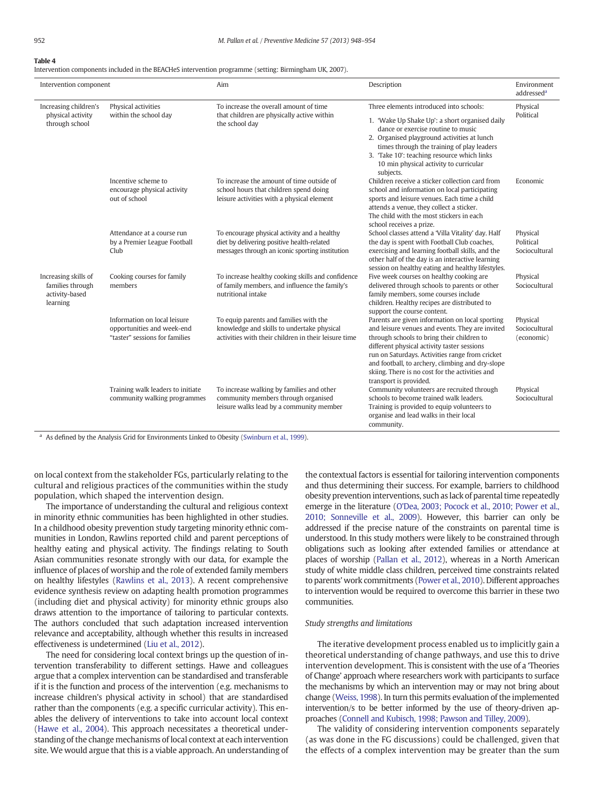#### <span id="page-5-0"></span>Table 4

Intervention components included in the BEACHeS intervention programme (setting: Birmingham UK, 2007).

| Intervention component                                                 |                                                                   | Aim                                                                                                                      | Description                                                                                                                                                                                                                                         | Environment<br>addressed <sup>a</sup> |
|------------------------------------------------------------------------|-------------------------------------------------------------------|--------------------------------------------------------------------------------------------------------------------------|-----------------------------------------------------------------------------------------------------------------------------------------------------------------------------------------------------------------------------------------------------|---------------------------------------|
| Increasing children's<br>physical activity<br>through school           | Physical activities<br>within the school day                      | To increase the overall amount of time<br>that children are physically active within<br>the school day                   | Three elements introduced into schools:                                                                                                                                                                                                             | Physical<br>Political                 |
|                                                                        |                                                                   |                                                                                                                          | 1. 'Wake Up Shake Up': a short organised daily<br>dance or exercise routine to music<br>2. Organised playground activities at lunch                                                                                                                 |                                       |
|                                                                        |                                                                   |                                                                                                                          | times through the training of play leaders<br>3. 'Take 10': teaching resource which links                                                                                                                                                           |                                       |
|                                                                        |                                                                   |                                                                                                                          | 10 min physical activity to curricular<br>subjects.                                                                                                                                                                                                 |                                       |
|                                                                        | Incentive scheme to<br>encourage physical activity                | To increase the amount of time outside of<br>school hours that children spend doing                                      | Children receive a sticker collection card from<br>school and information on local participating                                                                                                                                                    | Economic                              |
|                                                                        | out of school                                                     | leisure activities with a physical element                                                                               | sports and leisure venues. Each time a child<br>attends a venue, they collect a sticker.<br>The child with the most stickers in each<br>school receives a prize.                                                                                    |                                       |
|                                                                        | Attendance at a course run                                        | To encourage physical activity and a healthy                                                                             | School classes attend a 'Villa Vitality' day. Half                                                                                                                                                                                                  | Physical<br>Political                 |
|                                                                        | by a Premier League Football<br>Club                              | diet by delivering positive health-related<br>messages through an iconic sporting institution                            | the day is spent with Football Club coaches,<br>exercising and learning football skills, and the<br>other half of the day is an interactive learning<br>session on healthy eating and healthy lifestyles.                                           | Sociocultural                         |
| Increasing skills of<br>families through<br>activity-based<br>learning | Cooking courses for family<br>members                             | To increase healthy cooking skills and confidence<br>of family members, and influence the family's<br>nutritional intake | Five week courses on healthy cooking are<br>delivered through schools to parents or other<br>family members, some courses include<br>children. Healthy recipes are distributed to<br>support the course content.                                    | Physical<br>Sociocultural             |
|                                                                        | Information on local leisure                                      | To equip parents and families with the                                                                                   | Parents are given information on local sporting                                                                                                                                                                                                     | Physical                              |
|                                                                        | opportunities and week-end<br>"taster" sessions for families      | knowledge and skills to undertake physical<br>activities with their children in their leisure time                       | and leisure venues and events. They are invited<br>through schools to bring their children to<br>different physical activity taster sessions<br>run on Saturdays. Activities range from cricket<br>and football, to archery, climbing and dry-slope | Sociocultural<br>(economic)           |
|                                                                        |                                                                   |                                                                                                                          | skiing. There is no cost for the activities and<br>transport is provided.                                                                                                                                                                           |                                       |
|                                                                        | Training walk leaders to initiate<br>community walking programmes | To increase walking by families and other<br>community members through organised                                         | Community volunteers are recruited through<br>schools to become trained walk leaders.                                                                                                                                                               | Physical<br>Sociocultural             |
|                                                                        |                                                                   | leisure walks lead by a community member                                                                                 | Training is provided to equip volunteers to<br>organise and lead walks in their local<br>community.                                                                                                                                                 |                                       |

<sup>a</sup> As defined by the Analysis Grid for Environments Linked to Obesity [\(Swinburn et al., 1999\)](#page-7-0).

on local context from the stakeholder FGs, particularly relating to the cultural and religious practices of the communities within the study population, which shaped the intervention design.

The importance of understanding the cultural and religious context in minority ethnic communities has been highlighted in other studies. In a childhood obesity prevention study targeting minority ethnic communities in London, Rawlins reported child and parent perceptions of healthy eating and physical activity. The findings relating to South Asian communities resonate strongly with our data, for example the influence of places of worship and the role of extended family members on healthy lifestyles [\(Rawlins et al., 2013](#page-7-0)). A recent comprehensive evidence synthesis review on adapting health promotion programmes (including diet and physical activity) for minority ethnic groups also draws attention to the importance of tailoring to particular contexts. The authors concluded that such adaptation increased intervention relevance and acceptability, although whether this results in increased effectiveness is undetermined [\(Liu et al., 2012\)](#page-7-0).

The need for considering local context brings up the question of intervention transferability to different settings. Hawe and colleagues argue that a complex intervention can be standardised and transferable if it is the function and process of the intervention (e.g. mechanisms to increase children's physical activity in school) that are standardised rather than the components (e.g. a specific curricular activity). This enables the delivery of interventions to take into account local context [\(Hawe et al., 2004](#page-7-0)). This approach necessitates a theoretical understanding of the change mechanisms of local context at each intervention site. We would argue that this is a viable approach. An understanding of the contextual factors is essential for tailoring intervention components and thus determining their success. For example, barriers to childhood obesity prevention interventions, such as lack of parental time repeatedly emerge in the literature ([O'Dea, 2003; Pocock et al., 2010; Power et al.,](#page-7-0) [2010; Sonneville et al., 2009\)](#page-7-0). However, this barrier can only be addressed if the precise nature of the constraints on parental time is understood. In this study mothers were likely to be constrained through obligations such as looking after extended families or attendance at places of worship [\(Pallan et al., 2012\)](#page-7-0), whereas in a North American study of white middle class children, perceived time constraints related to parents' work commitments [\(Power et al., 2010\)](#page-7-0). Different approaches to intervention would be required to overcome this barrier in these two communities.

#### Study strengths and limitations

The iterative development process enabled us to implicitly gain a theoretical understanding of change pathways, and use this to drive intervention development. This is consistent with the use of a 'Theories of Change' approach where researchers work with participants to surface the mechanisms by which an intervention may or may not bring about change [\(Weiss, 1998\)](#page-7-0). In turn this permits evaluation of the implemented intervention/s to be better informed by the use of theory-driven approaches [\(Connell and Kubisch, 1998; Pawson and Tilley, 2009\)](#page-7-0).

The validity of considering intervention components separately (as was done in the FG discussions) could be challenged, given that the effects of a complex intervention may be greater than the sum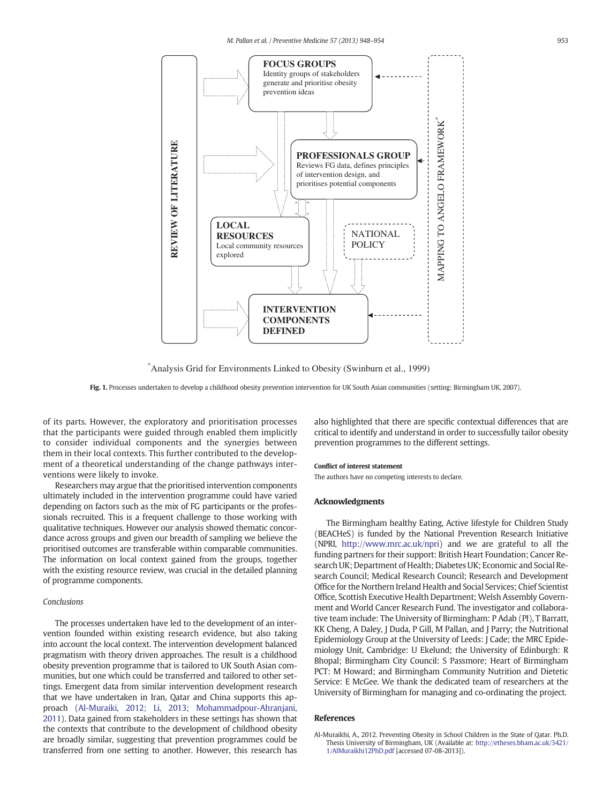<span id="page-6-0"></span>

\* Analysis Grid for Environments Linked to Obesity (Swinburn et al., 1999)

Fig. 1. Processes undertaken to develop a childhood obesity prevention intervention for UK South Asian communities (setting: Birmingham UK, 2007).

of its parts. However, the exploratory and prioritisation processes that the participants were guided through enabled them implicitly to consider individual components and the synergies between them in their local contexts. This further contributed to the development of a theoretical understanding of the change pathways interventions were likely to invoke.

Researchers may argue that the prioritised intervention components ultimately included in the intervention programme could have varied depending on factors such as the mix of FG participants or the professionals recruited. This is a frequent challenge to those working with qualitative techniques. However our analysis showed thematic concordance across groups and given our breadth of sampling we believe the prioritised outcomes are transferable within comparable communities. The information on local context gained from the groups, together with the existing resource review, was crucial in the detailed planning of programme components.

#### Conclusions

The processes undertaken have led to the development of an intervention founded within existing research evidence, but also taking into account the local context. The intervention development balanced pragmatism with theory driven approaches. The result is a childhood obesity prevention programme that is tailored to UK South Asian communities, but one which could be transferred and tailored to other settings. Emergent data from similar intervention development research that we have undertaken in Iran, Qatar and China supports this approach (Al-Muraiki, 2012; Li, 2013; Mohammadpour-Ahranjani, 2011). Data gained from stakeholders in these settings has shown that the contexts that contribute to the development of childhood obesity are broadly similar, suggesting that prevention programmes could be transferred from one setting to another. However, this research has

also highlighted that there are specific contextual differences that are critical to identify and understand in order to successfully tailor obesity prevention programmes to the different settings.

#### Conflict of interest statement

The authors have no competing interests to declare.

#### Acknowledgments

The Birmingham healthy Eating, Active lifestyle for Children Study (BEACHeS) is funded by the National Prevention Research Initiative (NPRI, <http://www.mrc.ac.uk/npri>) and we are grateful to all the funding partners for their support: British Heart Foundation; Cancer Research UK; Department of Health; Diabetes UK; Economic and Social Research Council; Medical Research Council; Research and Development Office for the Northern Ireland Health and Social Services; Chief Scientist Office, Scottish Executive Health Department; Welsh Assembly Government and World Cancer Research Fund. The investigator and collaborative team include: The University of Birmingham: P Adab (PI), T Barratt, KK Cheng, A Daley, J Duda, P Gill, M Pallan, and J Parry; the Nutritional Epidemiology Group at the University of Leeds: J Cade; the MRC Epidemiology Unit, Cambridge: U Ekelund; the University of Edinburgh: R Bhopal; Birmingham City Council: S Passmore; Heart of Birmingham PCT: M Howard; and Birmingham Community Nutrition and Dietetic Service: E McGee. We thank the dedicated team of researchers at the University of Birmingham for managing and co-ordinating the project.

#### References

Al-Muraikhi, A., 2012. Preventing Obesity in School Children in the State of Qatar. Ph.D. Thesis University of Birmingham, UK (Available at: [http://etheses.bham.ac.uk/3421/](http://etheses.bham.ac.uk/3421/1/AlMuraikhi12PhD.pdf) [1/AlMuraikhi12PhD.pdf](http://etheses.bham.ac.uk/3421/1/AlMuraikhi12PhD.pdf) [accessed 07-08-2013]).